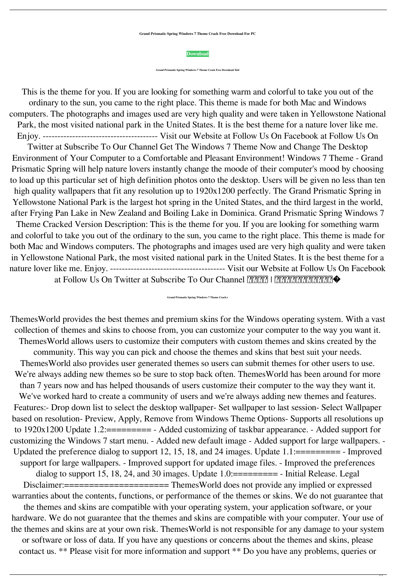**Grand Prismatic Spring Windows 7 Theme Crack Free Download For PC**

This is the theme for you. If you are looking for something warm and colorful to take you out of the ordinary to the sun, you came to the right place. This theme is made for both Mac and Windows computers. The photographs and images used are very high quality and were taken in Yellowstone National Park, the most visited national park in the United States. It is the best theme for a nature lover like me. Enjoy. --------------------------------------- Visit our Website at Follow Us On Facebook at Follow Us On Twitter at Subscribe To Our Channel Get The Windows 7 Theme Now and Change The Desktop Environment of Your Computer to a Comfortable and Pleasant Environment! Windows 7 Theme - Grand Prismatic Spring will help nature lovers instantly change the moode of their computer's mood by choosing to load up this particular set of high definition photos onto the desktop. Users will be given no less than ten high quality wallpapers that fit any resolution up to 1920x1200 perfectly. The Grand Prismatic Spring in Yellowstone National Park is the largest hot spring in the United States, and the third largest in the world, after Frying Pan Lake in New Zealand and Boiling Lake in Dominica. Grand Prismatic Spring Windows 7 Theme Cracked Version Description: This is the theme for you. If you are looking for something warm and colorful to take you out of the ordinary to the sun, you came to the right place. This theme is made for both Mac and Windows computers. The photographs and images used are very high quality and were taken in Yellowstone National Park, the most visited national park in the United States. It is the best theme for a nature lover like me. Enjoy. --------------------------------------- Visit our Website at Follow Us On Facebook at Follow Us On Twitter at Subscribe To Our Channel  $\sqrt{2222}$  |  $\sqrt{2222}$ 

**[Download](http://evacdir.com/timbaent/medini/R3JhbmQgUHJpc21hdGljIFNwcmluZyBXaW5kb3dzIDcgVGhlbWUR3J.netcast?paraplegia=riverwalk&equilibrium=ZG93bmxvYWR8NWllTWpVMmRIeDhNVFkxTkRRek5qWTFPSHg4TWpVNU1IeDhLRTBwSUZkdmNtUndjbVZ6Y3lCYldFMU1VbEJESUZZeUlGQkVSbDA&rufino=)**

**Grand Prismatic Spring Windows 7 Theme Crack Free Download X64**

**Grand Prismatic Spring Windows 7 Theme Crack+**

ThemesWorld provides the best themes and premium skins for the Windows operating system. With a vast collection of themes and skins to choose from, you can customize your computer to the way you want it. ThemesWorld allows users to customize their computers with custom themes and skins created by the community. This way you can pick and choose the themes and skins that best suit your needs. ThemesWorld also provides user generated themes so users can submit themes for other users to use. We're always adding new themes so be sure to stop back often. Themes World has been around for more than 7 years now and has helped thousands of users customize their computer to the way they want it. We've worked hard to create a community of users and we're always adding new themes and features. Features:- Drop down list to select the desktop wallpaper- Set wallpaper to last session- Select Wallpaper based on resolution- Preview, Apply, Remove from Windows Theme Options- Supports all resolutions up to 1920x1200 Update 1.2:========= - Added customizing of taskbar appearance. - Added support for customizing the Windows 7 start menu. - Added new default image - Added support for large wallpapers. - Updated the preference dialog to support 12, 15, 18, and 24 images. Update 1.1:========== - Improved support for large wallpapers. - Improved support for updated image files. - Improved the preferences dialog to support 15, 18, 24, and 30 images. Update  $1.0$ :========= - Initial Release. Legal Disclaimer:======================== ThemesWorld does not provide any implied or expressed warranties about the contents, functions, or performance of the themes or skins. We do not guarantee that the themes and skins are compatible with your operating system, your application software, or your hardware. We do not guarantee that the themes and skins are compatible with your computer. Your use of the themes and skins are at your own risk. ThemesWorld is not responsible for any damage to your system or software or loss of data. If you have any questions or concerns about the themes and skins, please contact us. \*\* Please visit for more information and support \*\* Do you have any problems, queries or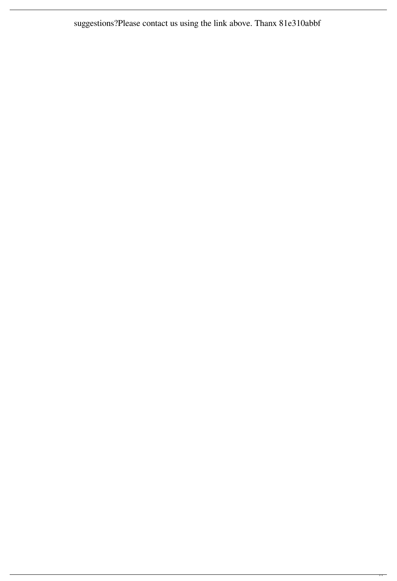suggestions?Please contact us using the link above. Thanx 81e310abbf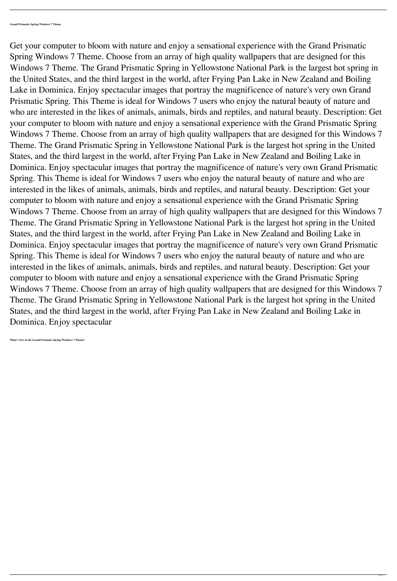Get your computer to bloom with nature and enjoy a sensational experience with the Grand Prismatic Spring Windows 7 Theme. Choose from an array of high quality wallpapers that are designed for this Windows 7 Theme. The Grand Prismatic Spring in Yellowstone National Park is the largest hot spring in the United States, and the third largest in the world, after Frying Pan Lake in New Zealand and Boiling Lake in Dominica. Enjoy spectacular images that portray the magnificence of nature's very own Grand Prismatic Spring. This Theme is ideal for Windows 7 users who enjoy the natural beauty of nature and who are interested in the likes of animals, animals, birds and reptiles, and natural beauty. Description: Get your computer to bloom with nature and enjoy a sensational experience with the Grand Prismatic Spring Windows 7 Theme. Choose from an array of high quality wallpapers that are designed for this Windows 7 Theme. The Grand Prismatic Spring in Yellowstone National Park is the largest hot spring in the United States, and the third largest in the world, after Frying Pan Lake in New Zealand and Boiling Lake in Dominica. Enjoy spectacular images that portray the magnificence of nature's very own Grand Prismatic Spring. This Theme is ideal for Windows 7 users who enjoy the natural beauty of nature and who are interested in the likes of animals, animals, birds and reptiles, and natural beauty. Description: Get your computer to bloom with nature and enjoy a sensational experience with the Grand Prismatic Spring Windows 7 Theme. Choose from an array of high quality wallpapers that are designed for this Windows 7 Theme. The Grand Prismatic Spring in Yellowstone National Park is the largest hot spring in the United States, and the third largest in the world, after Frying Pan Lake in New Zealand and Boiling Lake in Dominica. Enjoy spectacular images that portray the magnificence of nature's very own Grand Prismatic Spring. This Theme is ideal for Windows 7 users who enjoy the natural beauty of nature and who are interested in the likes of animals, animals, birds and reptiles, and natural beauty. Description: Get your computer to bloom with nature and enjoy a sensational experience with the Grand Prismatic Spring Windows 7 Theme. Choose from an array of high quality wallpapers that are designed for this Windows 7 Theme. The Grand Prismatic Spring in Yellowstone National Park is the largest hot spring in the United States, and the third largest in the world, after Frying Pan Lake in New Zealand and Boiling Lake in Dominica. Enjoy spectacular

**What's New in the Grand Prismatic Spring Windows 7 Theme?**